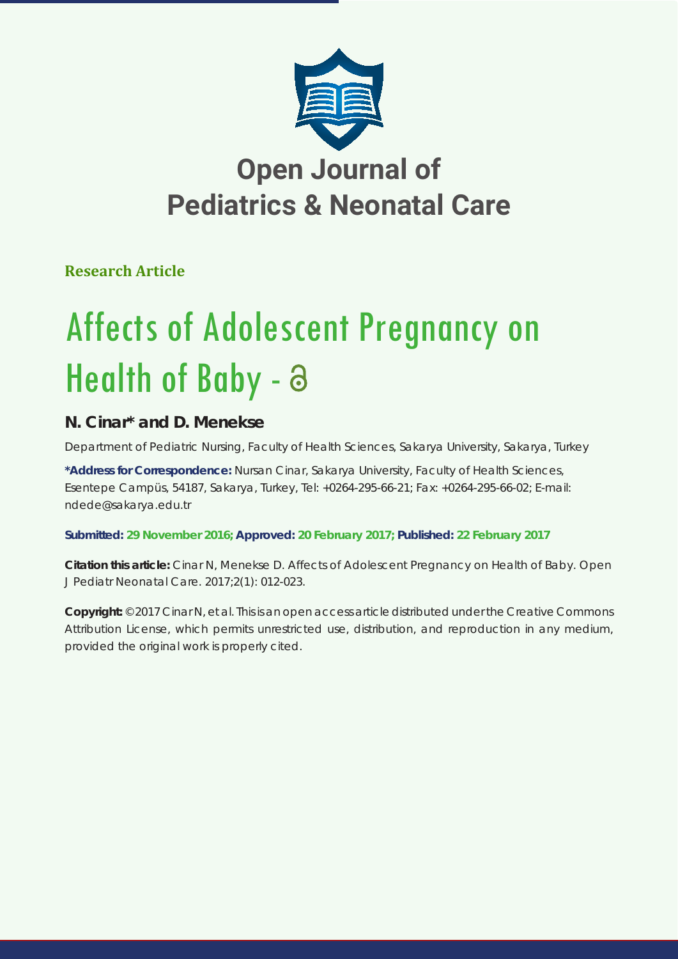

## **Open Journal of Pediatrics & Neonatal Care**

**Research Article**

# Affects of Adolescent Pregnancy on Health of Baby -  $\partial$

### **N. Cinar\* and D. Menekse**

*Department of Pediatric Nursing, Faculty of Health Sciences, Sakarya University, Sakarya, Turkey*

**\*Address for Correspondence:** Nursan Cinar, Sakarya University, Faculty of Health Sciences, Esentepe Campüs, 54187, Sakarya, Turkey, Tel: +0264-295-66-21; Fax: +0264-295-66-02; E-mail: ndede@sakarya.edu.tr

**Submitted: 29 November 2016; Approved: 20 February 2017; Published: 22 February 2017**

**Citation this article:** Cinar N, Menekse D. Affects of Adolescent Pregnancy on Health of Baby. Open J Pediatr Neonatal Care. 2017;2(1): 012-023.

**Copyright:** © 2017 Cinar N, et al. This is an open access article distributed under the Creative Commons Attribution License, which permits unrestricted use, distribution, and reproduction in any medium, provided the original work is properly cited.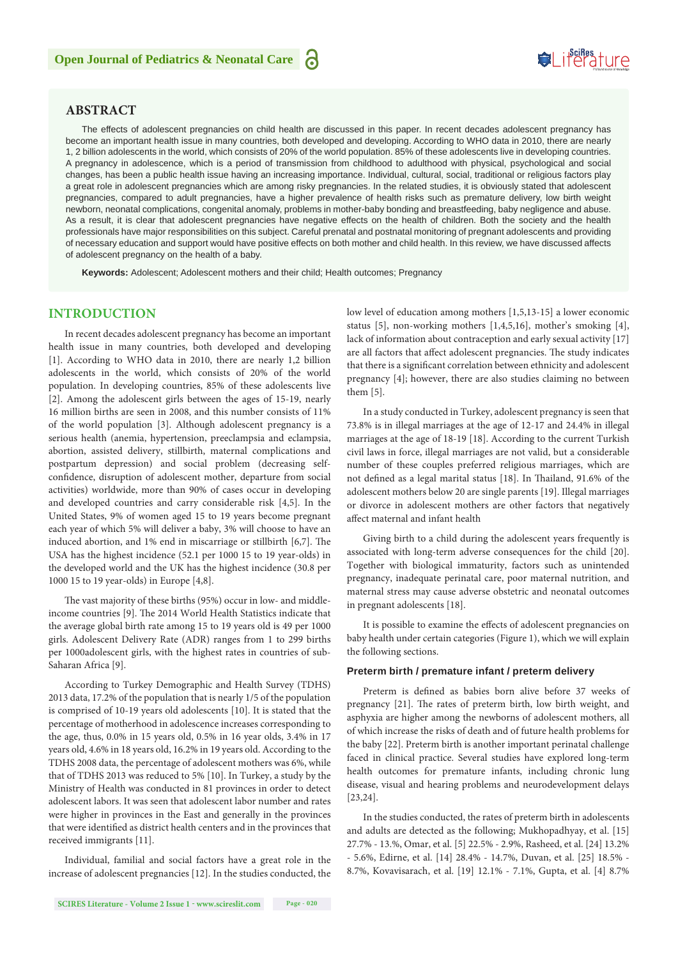#### **ABSTRACT**

The effects of adolescent pregnancies on child health are discussed in this paper. In recent decades adolescent pregnancy has become an important health issue in many countries, both developed and developing. According to WHO data in 2010, there are nearly 1, 2 billion adolescents in the world, which consists of 20% of the world population. 85% of these adolescents live in developing countries. A pregnancy in adolescence, which is a period of transmission from childhood to adulthood with physical, psychological and social changes, has been a public health issue having an increasing importance. Individual, cultural, social, traditional or religious factors play a great role in adolescent pregnancies which are among risky pregnancies. In the related studies, it is obviously stated that adolescent pregnancies, compared to adult pregnancies, have a higher prevalence of health risks such as premature delivery, low birth weight newborn, neonatal complications, congenital anomaly, problems in mother-baby bonding and breastfeeding, baby negligence and abuse. As a result, it is clear that adolescent pregnancies have negative effects on the health of children. Both the society and the health professionals have major responsibilities on this subject. Careful prenatal and postnatal monitoring of pregnant adolescents and providing of necessary education and support would have positive effects on both mother and child health. In this review, we have discussed affects of adolescent pregnancy on the health of a baby.

**Keywords:** Adolescent; Adolescent mothers and their child; Health outcomes; Pregnancy

#### **INTRODUCTION**

In recent decades adolescent pregnancy has become an important health issue in many countries, both developed and developing [1]. According to WHO data in 2010, there are nearly 1,2 billion adolescents in the world, which consists of 20% of the world population. In developing countries, 85% of these adolescents live [2]. Among the adolescent girls between the ages of 15-19, nearly 16 million births are seen in 2008, and this number consists of 11% of the world population [3]. Although adolescent pregnancy is a serious health (anemia, hypertension, preeclampsia and eclampsia, abortion, assisted delivery, stillbirth, maternal complications and postpartum depression) and social problem (decreasing selfconfidence, disruption of adolescent mother, departure from social activities) worldwide, more than 90% of cases occur in developing and developed countries and carry considerable risk [4,5]. In the United States, 9% of women aged 15 to 19 years become pregnant each year of which 5% will deliver a baby, 3% will choose to have an induced abortion, and 1% end in miscarriage or stillbirth [6,7]. The USA has the highest incidence (52.1 per 1000 15 to 19 year-olds) in the developed world and the UK has the highest incidence (30.8 per 1000 15 to 19 year-olds) in Europe [4,8].

The vast majority of these births (95%) occur in low- and middleincome countries [9]. The 2014 World Health Statistics indicate that the average global birth rate among 15 to 19 years old is 49 per 1000 girls. Adolescent Delivery Rate (ADR) ranges from 1 to 299 births per 1000adolescent girls, with the highest rates in countries of sub-Saharan Africa [9].

According to Turkey Demographic and Health Survey (TDHS) 2013 data, 17.2% of the population that is nearly 1/5 of the population is comprised of 10-19 years old adolescents [10]. It is stated that the percentage of motherhood in adolescence increases corresponding to the age, thus, 0.0% in 15 years old, 0.5% in 16 year olds, 3.4% in 17 years old, 4.6% in 18 years old, 16.2% in 19 years old. According to the TDHS 2008 data, the percentage of adolescent mothers was 6%, while that of TDHS 2013 was reduced to 5% [10]. In Turkey, a study by the Ministry of Health was conducted in 81 provinces in order to detect adolescent labors. It was seen that adolescent labor number and rates were higher in provinces in the East and generally in the provinces that were identified as district health centers and in the provinces that received immigrants [11].

Individual, familial and social factors have a great role in the increase of adolescent pregnancies [12]. In the studies conducted, the low level of education among mothers [1,5,13-15] a lower economic status [5], non-working mothers [1,4,5,16], mother's smoking [4], lack of information about contraception and early sexual activity [17] are all factors that affect adolescent pregnancies. The study indicates that there is a significant correlation between ethnicity and adolescent pregnancy [4]; however, there are also studies claiming no between them [5].

In a study conducted in Turkey, adolescent pregnancy is seen that 73.8% is in illegal marriages at the age of 12-17 and 24.4% in illegal marriages at the age of 18-19 [18]. According to the current Turkish civil laws in force, illegal marriages are not valid, but a considerable number of these couples preferred religious marriages, which are not defined as a legal marital status [18]. In Thailand, 91.6% of the adolescent mothers below 20 are single parents [19]. Illegal marriages or divorce in adolescent mothers are other factors that negatively affect maternal and infant health

Giving birth to a child during the adolescent years frequently is associated with long-term adverse consequences for the child [20]. Together with biological immaturity, factors such as unintended pregnancy, inadequate perinatal care, poor maternal nutrition, and maternal stress may cause adverse obstetric and neonatal outcomes in pregnant adolescents [18].

It is possible to examine the effects of adolescent pregnancies on baby health under certain categories (Figure 1), which we will explain the following sections.

#### **Preterm birth / premature infant / preterm delivery**

Preterm is defined as babies born alive before 37 weeks of pregnancy [21]. The rates of preterm birth, low birth weight, and asphyxia are higher among the newborns of adolescent mothers, all of which increase the risks of death and of future health problems for the baby [22]. Preterm birth is another important perinatal challenge faced in clinical practice. Several studies have explored long-term health outcomes for premature infants, including chronic lung disease, visual and hearing problems and neurodevelopment delays [23,24].

In the studies conducted, the rates of preterm birth in adolescents and adults are detected as the following; Mukhopadhyay, et al. [15] 27.7% - 13.%, Omar, et al. [5] 22.5% - 2.9%, Rasheed, et al. [24] 13.2% - 5.6%, Edirne, et al. [14] 28.4% - 14.7%, Duvan, et al. [25] 18.5% - 8.7%, Kovavisarach, et al. [19] 12.1% - 7.1%, Gupta, et al. [4] 8.7%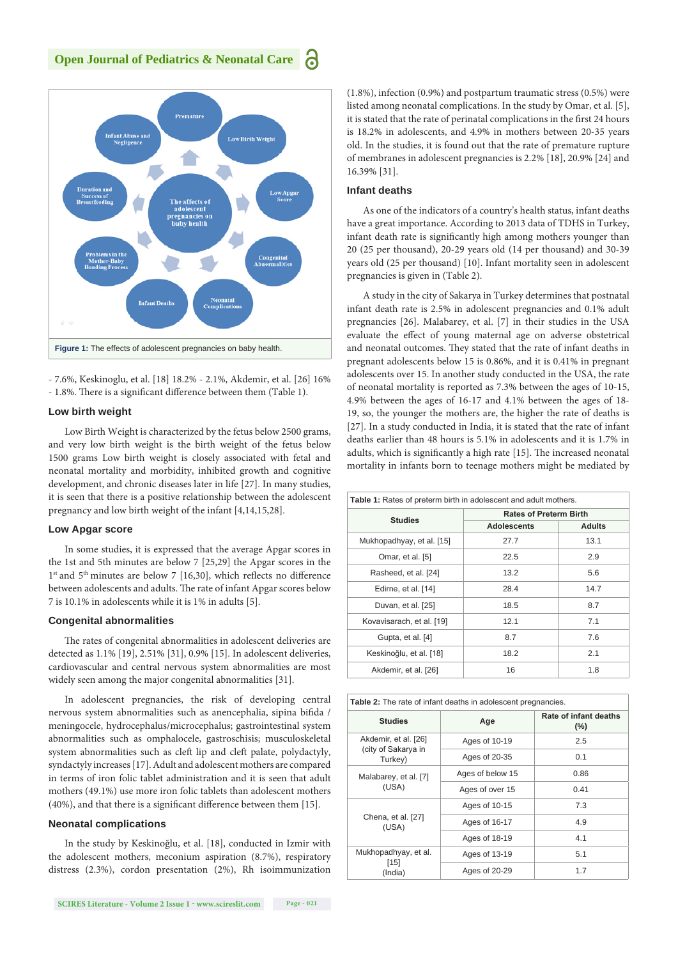

- 7.6%, Keskinoglu, et al. [18] 18.2% - 2.1%, Akdemir, et al. [26] 16% - 1.8%. There is a significant difference between them (Table 1).

#### **Low birth weight**

Low Birth Weight is characterized by the fetus below 2500 grams, and very low birth weight is the birth weight of the fetus below 1500 grams Low birth weight is closely associated with fetal and neonatal mortality and morbidity, inhibited growth and cognitive development, and chronic diseases later in life [27]. In many studies, it is seen that there is a positive relationship between the adolescent pregnancy and low birth weight of the infant [4,14,15,28].

#### **Low Apgar score**

In some studies, it is expressed that the average Apgar scores in the 1st and 5th minutes are below 7 [25,29] the Apgar scores in the 1<sup>st</sup> and 5<sup>th</sup> minutes are below 7 [16,30], which reflects no difference between adolescents and adults. The rate of infant Apgar scores below 7 is 10.1% in adolescents while it is 1% in adults [5].

#### **Congenital abnormalities**

The rates of congenital abnormalities in adolescent deliveries are detected as 1.1% [19], 2.51% [31], 0.9% [15]. In adolescent deliveries, cardiovascular and central nervous system abnormalities are most widely seen among the major congenital abnormalities [31].

In adolescent pregnancies, the risk of developing central nervous system abnormalities such as anencephalia, sipina bifida / meningocele, hydrocephalus/microcephalus; gastrointestinal system abnormalities such as omphalocele, gastroschisis; musculoskeletal system abnormalities such as cleft lip and cleft palate, polydactyly, syndactyly increases [17]. Adult and adolescent mothers are compared in terms of iron folic tablet administration and it is seen that adult mothers (49.1%) use more iron folic tablets than adolescent mothers (40%), and that there is a significant difference between them [15].

#### **Neonatal complications**

In the study by Keskinoğlu, et al. [18], conducted in Izmir with the adolescent mothers, meconium aspiration (8.7%), respiratory distress (2.3%), cordon presentation (2%), Rh isoimmunization (1.8%), infection (0.9%) and postpartum traumatic stress (0.5%) were listed among neonatal complications. In the study by Omar, et al. [5], it is stated that the rate of perinatal complications in the first 24 hours is 18.2% in adolescents, and 4.9% in mothers between 20-35 years old. In the studies, it is found out that the rate of premature rupture of membranes in adolescent pregnancies is 2.2% [18], 20.9% [24] and 16.39% [31].

#### **Infant deaths**

As one of the indicators of a country's health status, infant deaths have a great importance. According to 2013 data of TDHS in Turkey, infant death rate is significantly high among mothers younger than 20 (25 per thousand), 20-29 years old (14 per thousand) and 30-39 years old (25 per thousand) [10]. Infant mortality seen in adolescent pregnancies is given in (Table 2).

A study in the city of Sakarya in Turkey determines that postnatal infant death rate is 2.5% in adolescent pregnancies and 0.1% adult pregnancies [26]. Malabarey, et al. [7] in their studies in the USA evaluate the effect of young maternal age on adverse obstetrical and neonatal outcomes. They stated that the rate of infant deaths in pregnant adolescents below 15 is 0.86%, and it is 0.41% in pregnant adolescents over 15. In another study conducted in the USA, the rate of neonatal mortality is reported as 7.3% between the ages of 10-15, 4.9% between the ages of 16-17 and 4.1% between the ages of 18- 19, so, the younger the mothers are, the higher the rate of deaths is [27]. In a study conducted in India, it is stated that the rate of infant deaths earlier than 48 hours is 5.1% in adolescents and it is 1.7% in adults, which is significantly a high rate [15]. The increased neonatal mortality in infants born to teenage mothers might be mediated by

| <b>Table 1:</b> Rates of preterm birth in adolescent and adult mothers. |                               |               |  |
|-------------------------------------------------------------------------|-------------------------------|---------------|--|
| <b>Studies</b>                                                          | <b>Rates of Preterm Birth</b> |               |  |
|                                                                         | <b>Adolescents</b>            | <b>Adults</b> |  |
| Mukhopadhyay, et al. [15]                                               | 27.7                          | 13.1          |  |
| Omar, et al. [5]                                                        | 22.5                          | 2.9           |  |
| Rasheed, et al. [24]                                                    | 13.2                          | 5.6           |  |
| Edirne, et al. [14]                                                     | 28.4                          | 14.7          |  |
| Duvan, et al. [25]                                                      | 18.5                          | 8.7           |  |
| Kovavisarach, et al. [19]                                               | 12.1                          | 7.1           |  |
| Gupta, et al. [4]                                                       | 8.7                           | 7.6           |  |
| Keskinoğlu, et al. [18]                                                 | 18.2                          | 2.1           |  |
| Akdemir, et al. [26]                                                    | 16                            | 1.8           |  |

| Table 2: The rate of infant deaths in adolescent pregnancies. |                  |                                  |  |
|---------------------------------------------------------------|------------------|----------------------------------|--|
| <b>Studies</b>                                                | Age              | Rate of infant deaths<br>$(\% )$ |  |
| Akdemir, et al. [26]<br>(city of Sakarya in<br>Turkey)        | Ages of 10-19    | 2.5                              |  |
|                                                               | Ages of 20-35    | 0.1                              |  |
| Malabarey, et al. [7]<br>(USA)                                | Ages of below 15 | 0.86                             |  |
|                                                               | Ages of over 15  | 0.41                             |  |
| Chena, et al. [27]<br>(USA)                                   | Ages of 10-15    | 7.3                              |  |
|                                                               | Ages of 16-17    | 4.9                              |  |
|                                                               | Ages of 18-19    | 4.1                              |  |
| Mukhopadhyay, et al.<br>[15]<br>(India)                       | Ages of 13-19    | 5.1                              |  |
|                                                               | Ages of 20-29    | 1.7                              |  |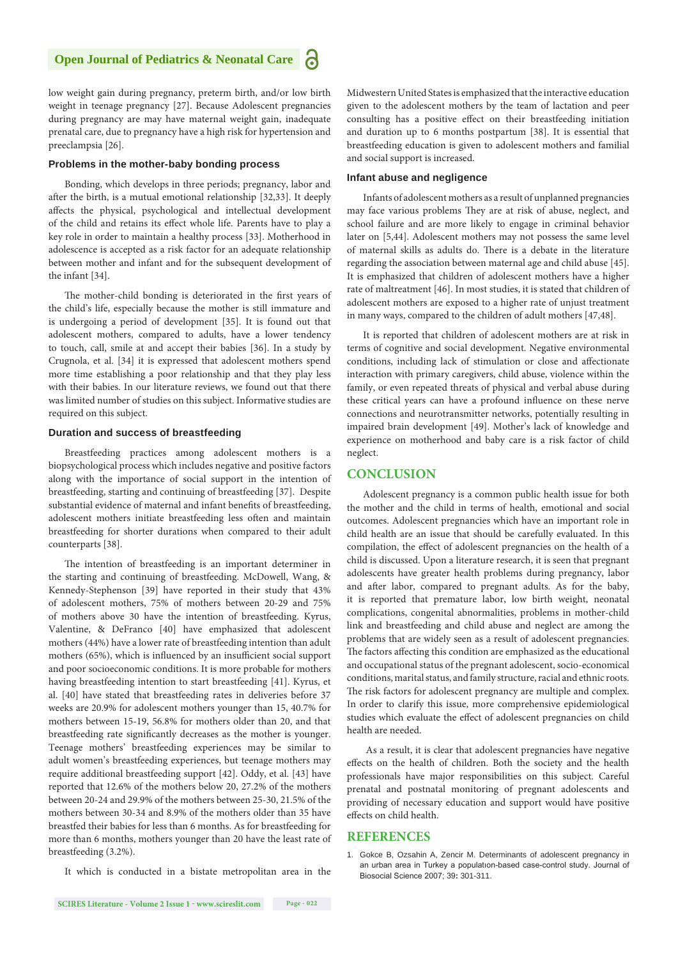**R** 

low weight gain during pregnancy, preterm birth, and/or low birth weight in teenage pregnancy [27]. Because Adolescent pregnancies during pregnancy are may have maternal weight gain, inadequate prenatal care, due to pregnancy have a high risk for hypertension and preeclampsia [26].

#### **Problems in the mother-baby bonding process**

Bonding, which develops in three periods; pregnancy, labor and after the birth, is a mutual emotional relationship [32,33]. It deeply affects the physical, psychological and intellectual development of the child and retains its effect whole life. Parents have to play a key role in order to maintain a healthy process [33]. Motherhood in adolescence is accepted as a risk factor for an adequate relationship between mother and infant and for the subsequent development of the infant [34].

The mother-child bonding is deteriorated in the first years of the child's life, especially because the mother is still immature and is undergoing a period of development [35]. It is found out that adolescent mothers, compared to adults, have a lower tendency to touch, call, smile at and accept their babies [36]. In a study by Crugnola, et al. [34] it is expressed that adolescent mothers spend more time establishing a poor relationship and that they play less with their babies. In our literature reviews, we found out that there was limited number of studies on this subject. Informative studies are required on this subject.

#### **Duration and success of breastfeeding**

Breastfeeding practices among adolescent mothers is a biopsychological process which includes negative and positive factors along with the importance of social support in the intention of breastfeeding, starting and continuing of breastfeeding [37]. Despite substantial evidence of maternal and infant benefits of breastfeeding, adolescent mothers initiate breastfeeding less often and maintain breastfeeding for shorter durations when compared to their adult counterparts [38].

The intention of breastfeeding is an important determiner in the starting and continuing of breastfeeding. McDowell, Wang, & Kennedy-Stephenson [39] have reported in their study that 43% of adolescent mothers, 75% of mothers between 20-29 and 75% of mothers above 30 have the intention of breastfeeding. Kyrus, Valentine, & DeFranco [40] have emphasized that adolescent mothers (44%) have a lower rate of breastfeeding intention than adult mothers (65%), which is influenced by an insufficient social support and poor socioeconomic conditions. It is more probable for mothers having breastfeeding intention to start breastfeeding [41]. Kyrus, et al. [40] have stated that breastfeeding rates in deliveries before 37 weeks are 20.9% for adolescent mothers younger than 15, 40.7% for mothers between 15-19, 56.8% for mothers older than 20, and that breastfeeding rate significantly decreases as the mother is younger. Teenage mothers' breastfeeding experiences may be similar to adult women's breastfeeding experiences, but teenage mothers may require additional breastfeeding support [42]. Oddy, et al. [43] have reported that 12.6% of the mothers below 20, 27.2% of the mothers between 20-24 and 29.9% of the mothers between 25-30, 21.5% of the mothers between 30-34 and 8.9% of the mothers older than 35 have breastfed their babies for less than 6 months. As for breastfeeding for more than 6 months, mothers younger than 20 have the least rate of breastfeeding (3.2%).

Midwestern United States is emphasized that the interactive education given to the adolescent mothers by the team of lactation and peer consulting has a positive effect on their breastfeeding initiation and duration up to 6 months postpartum [38]. It is essential that breastfeeding education is given to adolescent mothers and familial and social support is increased.

#### **Infant abuse and negligence**

Infants of adolescent mothers as a result of unplanned pregnancies may face various problems They are at risk of abuse, neglect, and school failure and are more likely to engage in criminal behavior later on [5,44]. Adolescent mothers may not possess the same level of maternal skills as adults do. There is a debate in the literature regarding the association between maternal age and child abuse [45]. It is emphasized that children of adolescent mothers have a higher rate of maltreatment [46]. In most studies, it is stated that children of adolescent mothers are exposed to a higher rate of unjust treatment in many ways, compared to the children of adult mothers [47,48].

It is reported that children of adolescent mothers are at risk in terms of cognitive and social development. Negative environmental conditions, including lack of stimulation or close and affectionate interaction with primary caregivers, child abuse, violence within the family, or even repeated threats of physical and verbal abuse during these critical years can have a profound influence on these nerve connections and neurotransmitter networks, potentially resulting in impaired brain development [49]. Mother's lack of knowledge and experience on motherhood and baby care is a risk factor of child neglect.

#### **CONCLUSION**

Adolescent pregnancy is a common public health issue for both the mother and the child in terms of health, emotional and social outcomes. Adolescent pregnancies which have an important role in child health are an issue that should be carefully evaluated. In this compilation, the effect of adolescent pregnancies on the health of a child is discussed. Upon a literature research, it is seen that pregnant adolescents have greater health problems during pregnancy, labor and after labor, compared to pregnant adults. As for the baby, it is reported that premature labor, low birth weight, neonatal complications, congenital abnormalities, problems in mother-child link and breastfeeding and child abuse and neglect are among the problems that are widely seen as a result of adolescent pregnancies. The factors affecting this condition are emphasized as the educational and occupational status of the pregnant adolescent, socio-economical conditions, marital status, and family structure, racial and ethnic roots. The risk factors for adolescent pregnancy are multiple and complex. In order to clarify this issue, more comprehensive epidemiological studies which evaluate the effect of adolescent pregnancies on child health are needed.

 As a result, it is clear that adolescent pregnancies have negative effects on the health of children. Both the society and the health professionals have major responsibilities on this subject. Careful prenatal and postnatal monitoring of pregnant adolescents and providing of necessary education and support would have positive effects on child health.

#### **REFERENCES**

1. [Gokce B, Ozsahin A, Zencir M. Determinants of adolescent pregnancy in](https://www.ncbi.nlm.nih.gov/pubmed/17107636)  [an urban area in Turkey a populatıon-based case-control study. Journal of](https://www.ncbi.nlm.nih.gov/pubmed/17107636)  [Biosocial Science 2007; 39](https://www.ncbi.nlm.nih.gov/pubmed/17107636)**:** 301-311.